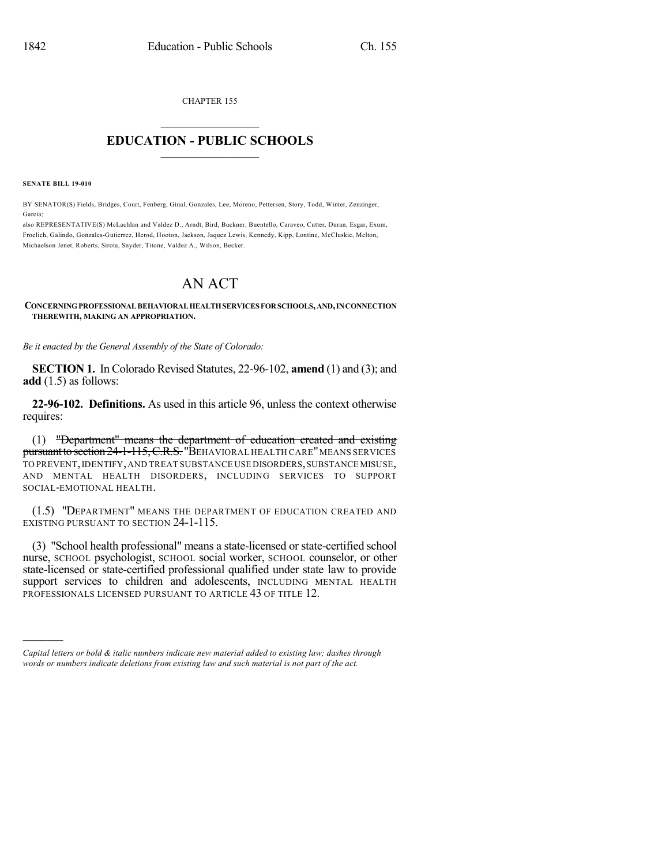CHAPTER 155  $\mathcal{L}_\text{max}$  . The set of the set of the set of the set of the set of the set of the set of the set of the set of the set of the set of the set of the set of the set of the set of the set of the set of the set of the set

## **EDUCATION - PUBLIC SCHOOLS**  $\_$   $\_$   $\_$   $\_$   $\_$   $\_$   $\_$   $\_$   $\_$

**SENATE BILL 19-010**

)))))

BY SENATOR(S) Fields, Bridges, Court, Fenberg, Ginal, Gonzales, Lee, Moreno, Pettersen, Story, Todd, Winter, Zenzinger, Garcia;

also REPRESENTATIVE(S) McLachlan and Valdez D., Arndt, Bird, Buckner, Buentello, Caraveo, Cutter, Duran, Esgar, Exum, Froelich, Galindo, Gonzales-Gutierrez, Herod, Hooton, Jackson, Jaquez Lewis, Kennedy, Kipp, Lontine, McCluskie, Melton, Michaelson Jenet, Roberts, Sirota, Snyder, Titone, Valdez A., Wilson, Becker.

## AN ACT

## **CONCERNINGPROFESSIONALBEHAVIORALHEALTHSERVICESFORSCHOOLS,AND,INCONNECTION THEREWITH, MAKING AN APPROPRIATION.**

*Be it enacted by the General Assembly of the State of Colorado:*

**SECTION 1.** In Colorado Revised Statutes, 22-96-102, **amend** (1) and (3); and **add** (1.5) as follows:

**22-96-102. Definitions.** As used in this article 96, unless the context otherwise requires:

(1) "Department" means the department of education created and existing pursuant to section 24-1-115, C.R.S. "BEHAVIORAL HEALTH CARE" MEANS SERVICES TO PREVENT,IDENTIFY,AND TREAT SUBSTANCE USE DISORDERS,SUBSTANCE MISUSE, AND MENTAL HEALTH DISORDERS, INCLUDING SERVICES TO SUPPORT SOCIAL-EMOTIONAL HEALTH.

(1.5) "DEPARTMENT" MEANS THE DEPARTMENT OF EDUCATION CREATED AND EXISTING PURSUANT TO SECTION 24-1-115.

(3) "School health professional" means a state-licensed or state-certified school nurse, SCHOOL psychologist, SCHOOL social worker, SCHOOL counselor, or other state-licensed or state-certified professional qualified under state law to provide support services to children and adolescents, INCLUDING MENTAL HEALTH PROFESSIONALS LICENSED PURSUANT TO ARTICLE 43 OF TITLE 12.

*Capital letters or bold & italic numbers indicate new material added to existing law; dashes through words or numbers indicate deletions from existing law and such material is not part of the act.*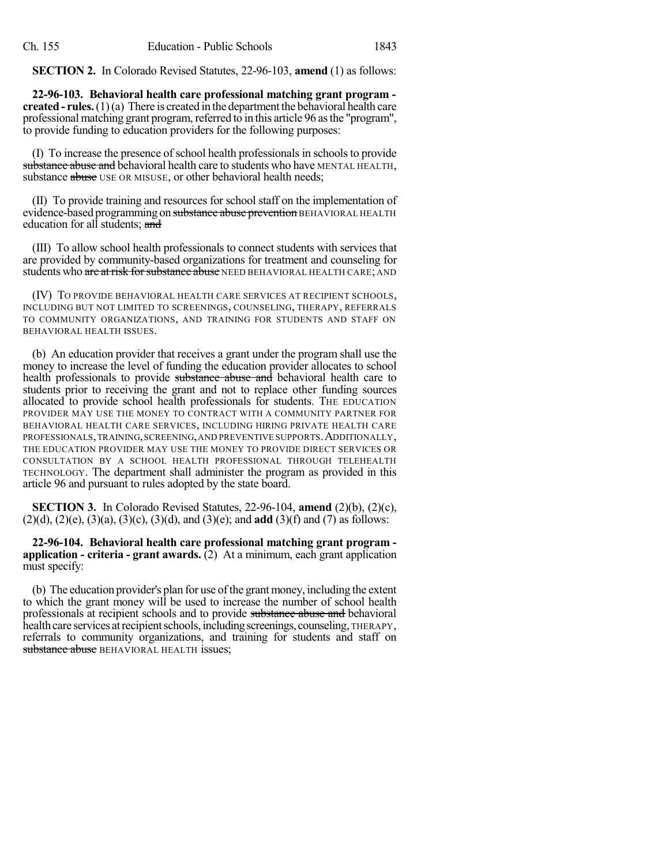**SECTION 2.** In Colorado Revised Statutes, 22-96-103, **amend** (1) as follows:

**22-96-103. Behavioral health care professional matching grant program created - rules.**  $(1)(a)$  There is created in the department the behavioral health care professional matching grant program, referred to in this article 96 as the "program", to provide funding to education providers for the following purposes:

(I) To increase the presence of school health professionals in schoolsto provide substance abuse and behavioral health care to students who have MENTAL HEALTH, substance abuse USE OR MISUSE, or other behavioral health needs;

(II) To provide training and resources for school staff on the implementation of evidence-based programming on substance abuse prevention BEHAVIORAL HEALTH education for all students; and

(III) To allow school health professionals to connect students with services that are provided by community-based organizations for treatment and counseling for students who are at risk for substance abuse NEED BEHAVIORAL HEALTH CARE; AND

(IV) TO PROVIDE BEHAVIORAL HEALTH CARE SERVICES AT RECIPIENT SCHOOLS, INCLUDING BUT NOT LIMITED TO SCREENINGS, COUNSELING, THERAPY, REFERRALS TO COMMUNITY ORGANIZATIONS, AND TRAINING FOR STUDENTS AND STAFF ON BEHAVIORAL HEALTH ISSUES.

(b) An education provider that receives a grant under the program shall use the money to increase the level of funding the education provider allocates to school health professionals to provide substance abuse and behavioral health care to students prior to receiving the grant and not to replace other funding sources allocated to provide school health professionals for students. THE EDUCATION PROVIDER MAY USE THE MONEY TO CONTRACT WITH A COMMUNITY PARTNER FOR BEHAVIORAL HEALTH CARE SERVICES, INCLUDING HIRING PRIVATE HEALTH CARE PROFESSIONALS,TRAINING,SCREENING,AND PREVENTIVE SUPPORTS.ADDITIONALLY, THE EDUCATION PROVIDER MAY USE THE MONEY TO PROVIDE DIRECT SERVICES OR CONSULTATION BY A SCHOOL HEALTH PROFESSIONAL THROUGH TELEHEALTH TECHNOLOGY. The department shall administer the program as provided in this article 96 and pursuant to rules adopted by the state board.

**SECTION 3.** In Colorado Revised Statutes, 22-96-104, **amend** (2)(b), (2)(c), (2)(d), (2)(e), (3)(a), (3)(c), (3)(d), and (3)(e); and **add** (3)(f) and (7) as follows:

**22-96-104. Behavioral health care professional matching grant program application - criteria - grant awards.** (2) At a minimum, each grant application must specify:

(b) The education provider's plan for use of the grant money, including the extent to which the grant money will be used to increase the number of school health professionals at recipient schools and to provide substance abuse and behavioral health care services at recipient schools, including screenings, counseling, THERAPY, referrals to community organizations, and training for students and staff on substance abuse BEHAVIORAL HEALTH issues;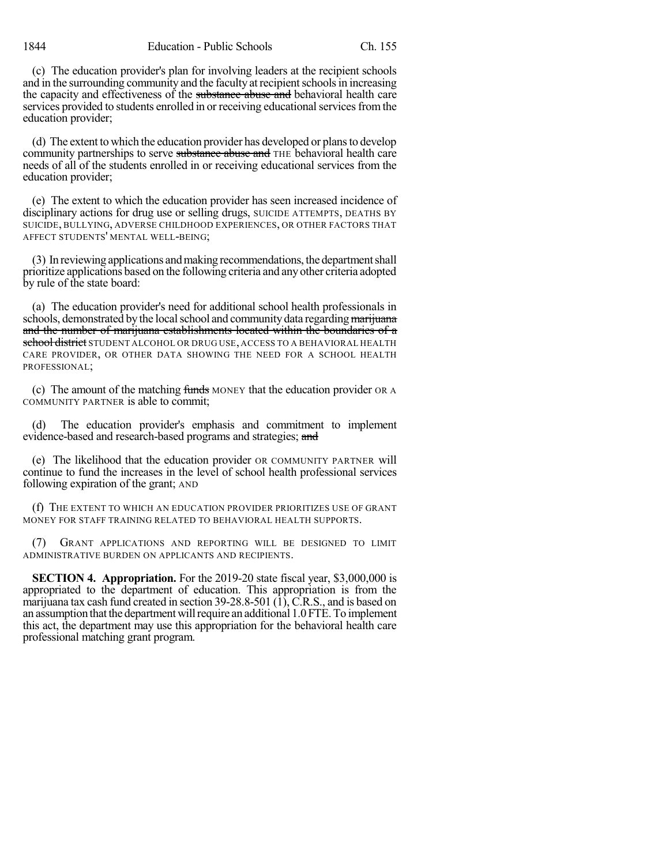(c) The education provider's plan for involving leaders at the recipient schools and in the surrounding community and the faculty at recipient schools in increasing the capacity and effectiveness of the substance abuse and behavioral health care services provided to students enrolled in or receiving educational services from the education provider;

(d) The extent to which the education provider has developed or plansto develop community partnerships to serve substance abuse and THE behavioral health care needs of all of the students enrolled in or receiving educational services from the education provider;

(e) The extent to which the education provider has seen increased incidence of disciplinary actions for drug use or selling drugs, SUICIDE ATTEMPTS, DEATHS BY SUICIDE, BULLYING, ADVERSE CHILDHOOD EXPERIENCES, OR OTHER FACTORS THAT AFFECT STUDENTS' MENTAL WELL-BEING;

(3) In reviewing applications andmaking recommendations, the departmentshall prioritize applications based on the following criteria and any other criteria adopted by rule of the state board:

(a) The education provider's need for additional school health professionals in schools, demonstrated by the local school and community data regarding marijuana and the number of marijuana establishments located within the boundaries of a school district STUDENT ALCOHOL OR DRUG USE, ACCESS TO A BEHAVIORAL HEALTH CARE PROVIDER, OR OTHER DATA SHOWING THE NEED FOR A SCHOOL HEALTH PROFESSIONAL;

(c) The amount of the matching funds MONEY that the education provider OR A COMMUNITY PARTNER is able to commit;

(d) The education provider's emphasis and commitment to implement evidence-based and research-based programs and strategies; and

(e) The likelihood that the education provider OR COMMUNITY PARTNER will continue to fund the increases in the level of school health professional services following expiration of the grant; AND

(f) THE EXTENT TO WHICH AN EDUCATION PROVIDER PRIORITIZES USE OF GRANT MONEY FOR STAFF TRAINING RELATED TO BEHAVIORAL HEALTH SUPPORTS.

(7) GRANT APPLICATIONS AND REPORTING WILL BE DESIGNED TO LIMIT ADMINISTRATIVE BURDEN ON APPLICANTS AND RECIPIENTS.

**SECTION 4. Appropriation.** For the 2019-20 state fiscal year, \$3,000,000 is appropriated to the department of education. This appropriation is from the marijuana tax cash fund created in section 39-28.8-501 (1), C.R.S., and is based on an assumption that the department will require an additional 1.0 FTE. To implement this act, the department may use this appropriation for the behavioral health care professional matching grant program.